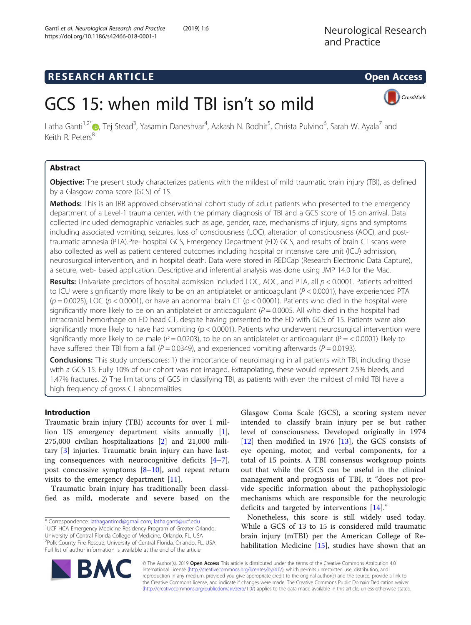## **RESEARCH ARTICLE Example 2018 12:00 Open Access**

CrossMark

# GCS 15: when mild TBI isn't so mild

Latha Ganti<sup>1,2[\\*](http://orcid.org/0000-0001-7717-3864)</sup>®, Tej Stead<sup>3</sup>, Yasamin Daneshvar<sup>4</sup>, Aakash N. Bodhit<sup>5</sup>, Christa Pulvino<sup>6</sup>, Sarah W. Ayala<sup>7</sup> and Keith R. Peters<sup>8</sup>

## Abstract

**Objective:** The present study characterizes patients with the mildest of mild traumatic brain injury (TBI), as defined by a Glasgow coma score (GCS) of 15.

Methods: This is an IRB approved observational cohort study of adult patients who presented to the emergency department of a Level-1 trauma center, with the primary diagnosis of TBI and a GCS score of 15 on arrival. Data collected included demographic variables such as age, gender, race, mechanisms of injury, signs and symptoms including associated vomiting, seizures, loss of consciousness (LOC), alteration of consciousness (AOC), and posttraumatic amnesia (PTA).Pre- hospital GCS, Emergency Department (ED) GCS, and results of brain CT scans were also collected as well as patient centered outcomes including hospital or intensive care unit (ICU) admission, neurosurgical intervention, and in hospital death. Data were stored in REDCap (Research Electronic Data Capture), a secure, web- based application. Descriptive and inferential analysis was done using JMP 14.0 for the Mac.

Results: Univariate predictors of hospital admission included LOC, AOC, and PTA, all  $p < 0.0001$ . Patients admitted to ICU were significantly more likely to be on an antiplatelet or anticoagulant ( $P < 0.0001$ ), have experienced PTA  $(p = 0.0025)$ , LOC ( $p < 0.0001$ ), or have an abnormal brain CT ( $p < 0.0001$ ). Patients who died in the hospital were significantly more likely to be on an antiplatelet or anticoagulant ( $P = 0.0005$ . All who died in the hospital had intracranial hemorrhage on ED head CT, despite having presented to the ED with GCS of 15. Patients were also significantly more likely to have had vomiting (p < 0.0001). Patients who underwent neurosurgical intervention were significantly more likely to be male ( $P = 0.0203$ ), to be on an antiplatelet or anticoagulant ( $P = < 0.0001$ ) likely to have suffered their TBI from a fall ( $P = 0.0349$ ), and experienced vomiting afterwards ( $P = 0.0193$ ).

**Conclusions:** This study underscores: 1) the importance of neuroimaging in all patients with TBI, including those with a GCS 15. Fully 10% of our cohort was not imaged. Extrapolating, these would represent 2.5% bleeds, and 1.47% fractures. 2) The limitations of GCS in classifying TBI, as patients with even the mildest of mild TBI have a high frequency of gross CT abnormalities.

## Introduction

Traumatic brain injury (TBI) accounts for over 1 million US emergency department visits annually [\[1](#page-7-0)], 275,000 civilian hospitalizations [\[2](#page-7-0)] and 21,000 military [[3](#page-7-0)] injuries. Traumatic brain injury can have lasting consequences with neurocognitive deficits [\[4](#page-7-0)–[7](#page-7-0)], post concussive symptoms  $[8-10]$  $[8-10]$  $[8-10]$  $[8-10]$ , and repeat return visits to the emergency department [[11](#page-7-0)].

Traumatic brain injury has traditionally been classified as mild, moderate and severe based on the

Glasgow Coma Scale (GCS), a scoring system never intended to classify brain injury per se but rather level of consciousness. Developed originally in 1974 [[12\]](#page-7-0) then modified in 1976 [\[13](#page-7-0)], the GCS consists of eye opening, motor, and verbal components, for a total of 15 points. A TBI consensus workgroup points out that while the GCS can be useful in the clinical management and prognosis of TBI, it "does not provide specific information about the pathophysiologic mechanisms which are responsible for the neurologic deficits and targeted by interventions [\[14](#page-7-0)]."

Nonetheless, this score is still widely used today. While a GCS of 13 to 15 is considered mild traumatic brain injury (mTBI) per the American College of Rehabilitation Medicine [\[15](#page-7-0)], studies have shown that an



© The Author(s). 2019 Open Access This article is distributed under the terms of the Creative Commons Attribution 4.0 International License [\(http://creativecommons.org/licenses/by/4.0/](http://creativecommons.org/licenses/by/4.0/)), which permits unrestricted use, distribution, and reproduction in any medium, provided you give appropriate credit to the original author(s) and the source, provide a link to the Creative Commons license, and indicate if changes were made. The Creative Commons Public Domain Dedication waiver [\(http://creativecommons.org/publicdomain/zero/1.0/](http://creativecommons.org/publicdomain/zero/1.0/)) applies to the data made available in this article, unless otherwise stated.

<sup>\*</sup> Correspondence: [lathagantimd@gmail.com](mailto:lathagantimd@gmail.com); [latha.ganti@ucf.edu](mailto:latha.ganti@ucf.edu) <sup>1</sup> <sup>1</sup>UCF HCA Emergency Medicine Residency Program of Greater Orlando, University of Central Florida College of Medicine, Orlando, FL, USA 2 Polk County Fire Rescue, University of Central Florida, Orlando, FL, USA Full list of author information is available at the end of the article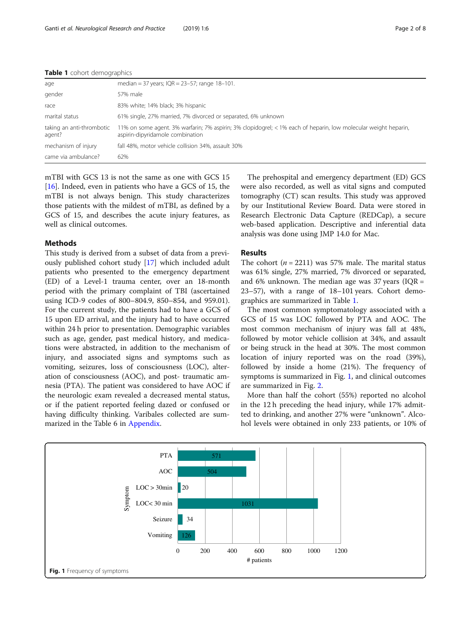| age                                 | median = 37 years; $IQR = 23-57$ ; range 18-101.                                                                                                    |
|-------------------------------------|-----------------------------------------------------------------------------------------------------------------------------------------------------|
| gender                              | 57% male                                                                                                                                            |
| race                                | 83% white; 14% black; 3% hispanic                                                                                                                   |
| marital status                      | 61% single, 27% married, 7% divorced or separated, 6% unknown                                                                                       |
| taking an anti-thrombotic<br>agent? | 11% on some agent. 3% warfarin; 7% aspirin; 3% clopidogrel; < 1% each of heparin, low molecular weight heparin,<br>aspirin-dipyridamole combination |
| mechanism of injury                 | fall 48%, motor vehicle collision 34%, assault 30%                                                                                                  |
| came via ambulance?                 | 62%                                                                                                                                                 |

#### Table 1 cohort demographics

mTBI with GCS 13 is not the same as one with GCS 15 [[16\]](#page-7-0). Indeed, even in patients who have a GCS of 15, the mTBI is not always benign. This study characterizes those patients with the mildest of mTBI, as defined by a GCS of 15, and describes the acute injury features, as well as clinical outcomes.

#### Methods

This study is derived from a subset of data from a previously published cohort study [\[17](#page-7-0)] which included adult patients who presented to the emergency department (ED) of a Level-1 trauma center, over an 18-month period with the primary complaint of TBI (ascertained using ICD-9 codes of 800–804.9, 850–854, and 959.01). For the current study, the patients had to have a GCS of 15 upon ED arrival, and the injury had to have occurred within 24 h prior to presentation. Demographic variables such as age, gender, past medical history, and medications were abstracted, in addition to the mechanism of injury, and associated signs and symptoms such as vomiting, seizures, loss of consciousness (LOC), alteration of consciousness (AOC), and post- traumatic amnesia (PTA). The patient was considered to have AOC if the neurologic exam revealed a decreased mental status, or if the patient reported feeling dazed or confused or having difficulty thinking. Varibales collected are summarized in the Table 6 in Appendix.

The prehospital and emergency department (ED) GCS were also recorded, as well as vital signs and computed tomography (CT) scan results. This study was approved by our Institutional Review Board. Data were stored in Research Electronic Data Capture (REDCap), a secure web-based application. Descriptive and inferential data analysis was done using JMP 14.0 for Mac.

### Results

The cohort ( $n = 2211$ ) was 57% male. The marital status was 61% single, 27% married, 7% divorced or separated, and 6% unknown. The median age was 37 years ( $IQR =$ 23–57), with a range of 18–101 years. Cohort demographics are summarized in Table 1.

The most common symptomatology associated with a GCS of 15 was LOC followed by PTA and AOC. The most common mechanism of injury was fall at 48%, followed by motor vehicle collision at 34%, and assault or being struck in the head at 30%. The most common location of injury reported was on the road (39%), followed by inside a home (21%). The frequency of symptoms is summarized in Fig. 1, and clinical outcomes are summarized in Fig. [2](#page-2-0).

More than half the cohort (55%) reported no alcohol in the 12 h preceding the head injury, while 17% admitted to drinking, and another 27% were "unknown". Alcohol levels were obtained in only 233 patients, or 10% of

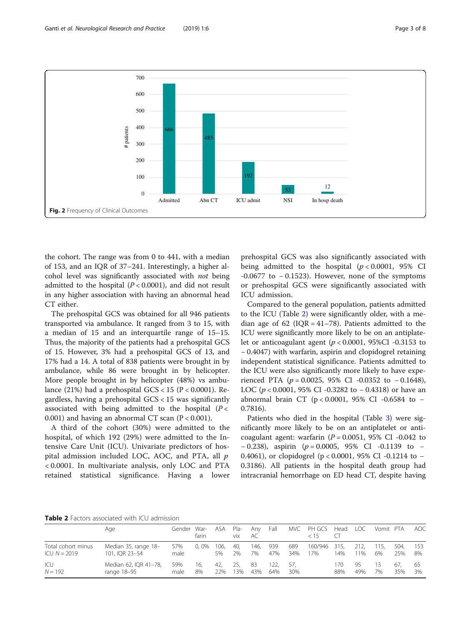<span id="page-2-0"></span>

the cohort. The range was from 0 to 441, with a median of 153, and an IQR of 37–241. Interestingly, a higher alcohol level was significantly associated with not being admitted to the hospital  $(P < 0.0001)$ , and did not result in any higher association with having an abnormal head CT either.

The prehospital GCS was obtained for all 946 patients transported via ambulance. It ranged from 3 to 15, with a median of 15 and an interquartile range of 15–15. Thus, the majority of the patients had a prehospital GCS of 15. However, 3% had a prehospital GCS of 13, and 17% had a 14. A total of 838 patients were brought in by ambulance, while 86 were brought in by helicopter. More people brought in by helicopter (48%) vs ambulance (21%) had a prehospital  $GCS < 15$  (P < 0.0001). Regardless, having a prehospital GCS < 15 was significantly associated with being admitted to the hospital  $(P <$ 0.001) and having an abnormal CT scan  $(P < 0.001)$ .

A third of the cohort (30%) were admitted to the hospital, of which 192 (29%) were admitted to the Intensive Care Unit (ICU). Univariate predictors of hospital admission included LOC, AOC, and PTA, all p < 0.0001. In multivariate analysis, only LOC and PTA retained statistical significance. Having a lower

prehospital GCS was also significantly associated with being admitted to the hospital  $(p < 0.0001, 95\%$  CI  $-0.0677$  to  $-0.1523$ ). However, none of the symptoms or prehospital GCS were significantly associated with ICU admission.

Compared to the general population, patients admitted to the ICU (Table 2) were significantly older, with a median age of 62 (IQR =  $41-78$ ). Patients admitted to the ICU were significantly more likely to be on an antiplatelet or anticoagulant agent ( $p < 0.0001$ , 95%CI -0.3153 to − 0.4047) with warfarin, aspirin and clopidogrel retaining independent statistical significance. Patients admitted to the ICU were also significantly more likely to have experienced PTA ( $p = 0.0025$ , 95% CI -0.0352 to -0.1648), LOC ( $p < 0.0001$ , 95% CI -0.3282 to -0.4318) or have an abnormal brain CT (p < 0.0001, 95% CI -0.6584 to − 0.7816).

Patients who died in the hospital (Table [3\)](#page-3-0) were significantly more likely to be on an antiplatelet or anticoagulant agent: warfarin  $(P = 0.0051, 95\% \text{ CI} -0.042 \text{ to}$  $-0.238$ ), aspirin (p = 0.0005, 95% CI -0.1139 to – 0.4061), or clopidogrel (p < 0.0001, 95% CI -0.1214 to − 0.3186). All patients in the hospital death group had intracranial hemorrhage on ED head CT, despite having

Table 2 Factors associated with ICU admission

|                    | Age                   | Gender War- | farin   | <b>ASA</b> | Pla-<br>vix | Anv<br>AC | Fall |     | MVC PH GCS<br>c 15 | Head | LOC. | Vomit PTA |      | AOC |
|--------------------|-----------------------|-------------|---------|------------|-------------|-----------|------|-----|--------------------|------|------|-----------|------|-----|
| Total cohort minus | Median 35, range 18-  | 57%         | $0.0\%$ | 106.       | -40.        | 146.      | 939  | 689 | 160/946            | 315. | 212. | 115.      | 504. | 153 |
| $ICU N = 2019$     | 101, IOR 23-54        | male        |         | 5%         | 2%          | 7%        | 47%  | 34% | 17%                | 14%  | 11%  | 6%        | 25%  | 8%  |
| ICU                | Median 62, IQR 41-78, | 59%         | 16.     | 42.        | -25.        | 83        | 122. | -57 |                    | 170  | 95   | 13        | 67.  | -65 |
| $N = 192$          | range 18-95           | male        | 8%      | 22%        | 3%          | 43%       | 64%  | 30% |                    | 88%  | 49%  | 7%        | 35%  | 3%  |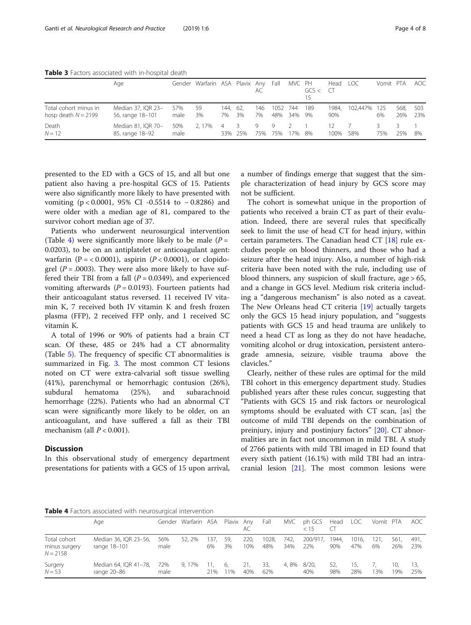<span id="page-3-0"></span>Table 3 Factors associated with in-hospital death

|                                                | Age                                    |             | Gender Warfarin ASA Plavix Any |                |                | AC.       | Fall            | MVC PH                | GCS < | Head LOC<br>CT |              | Vomit PTA |             | <b>AOC</b> |
|------------------------------------------------|----------------------------------------|-------------|--------------------------------|----------------|----------------|-----------|-----------------|-----------------------|-------|----------------|--------------|-----------|-------------|------------|
| Total cohort minus in<br>hosp death $N = 2199$ | Median 37, IQR 23-<br>56, range 18-101 | 57%<br>male | 59<br>3%                       | 144. 62.<br>7% | 3%             | 146<br>7% | 1052 744<br>48% | 34% 9%                | 189   | 1984.<br>90%   | 102.447% 125 | 6%        | 568.<br>26% | 503<br>23% |
| Death<br>$N = 12$                              | Median 81, IQR 70-<br>85, range 18-92  | 50%<br>male | 2.17%                          | -4             | -3.<br>33% 25% | 9<br>75%  | - 9<br>75%      | $\overline{2}$<br>17% | - 8%  | 12.<br>100%    | 58%          | 3.<br>75% | 25%         | 8%         |

presented to the ED with a GCS of 15, and all but one patient also having a pre-hospital GCS of 15. Patients were also significantly more likely to have presented with vomiting (p < 0.0001, 95% CI -0.5514 to − 0.8286) and were older with a median age of 81, compared to the survivor cohort median age of 37.

Patients who underwent neurosurgical intervention (Table 4) were significantly more likely to be male  $(P =$ 0.0203), to be on an antiplatelet or anticoagulant agent: warfarin (P = < 0.0001), aspirin (P < 0.0001), or clopidogrel ( $P = .0003$ ). They were also more likely to have suffered their TBI from a fall  $(P = 0.0349)$ , and experienced vomiting afterwards ( $P = 0.0193$ ). Fourteen patients had their anticoagulant status reversed. 11 received IV vitamin K, 7 received both IV vitamin K and fresh frozen plasma (FFP), 2 received FFP only, and 1 received SC vitamin K.

A total of 1996 or 90% of patients had a brain CT scan. Of these, 485 or 24% had a CT abnormality (Table [5\)](#page-4-0). The frequency of specific CT abnormalities is summarized in Fig. [3](#page-4-0). The most common CT lesions noted on CT were extra-calvarial soft tissue swelling (41%), parenchymal or hemorrhagic contusion (26%), subdural hematoma (25%), and subarachnoid hemorrhage (22%). Patients who had an abnormal CT scan were significantly more likely to be older, on an anticoagulant, and have suffered a fall as their TBI mechanism (all  $P < 0.001$ ).

#### **Discussion**

In this observational study of emergency department presentations for patients with a GCS of 15 upon arrival,

a number of findings emerge that suggest that the simple characterization of head injury by GCS score may not be sufficient.

The cohort is somewhat unique in the proportion of patients who received a brain CT as part of their evaluation. Indeed, there are several rules that specifically seek to limit the use of head CT for head injury, within certain parameters. The Canadian head CT [\[18](#page-7-0)] rule excludes people on blood thinners, and those who had a seizure after the head injury. Also, a number of high-risk criteria have been noted with the rule, including use of blood thinners, any suspicion of skull fracture, age > 65, and a change in GCS level. Medium risk criteria including a "dangerous mechanism" is also noted as a caveat. The New Orleans head CT criteria [\[19\]](#page-7-0) actually targets only the GCS 15 head injury population, and "suggests patients with GCS 15 and head trauma are unlikely to need a head CT as long as they do not have headache, vomiting alcohol or drug intoxication, persistent anterograde amnesia, seizure, visible trauma above the clavicles."

Clearly, neither of these rules are optimal for the mild TBI cohort in this emergency department study. Studies published years after these rules concur, suggesting that "Patients with GCS 15 and risk factors or neurological symptoms should be evaluated with CT scan, [as] the outcome of mild TBI depends on the combination of preinjury, injury and postinjury factors" [[20](#page-7-0)]. CT abnormalities are in fact not uncommon in mild TBI. A study of 2766 patients with mild TBI imaged in ED found that every sixth patient (16.1%) with mild TBI had an intracranial lesion [[21\]](#page-7-0). The most common lesions were

**Table 4** Factors associated with neurosurgical intervention

|                                             | Age                                   |             | Gender Warfarin ASA Plavix Any |             |            | AC          | Fall         | MVC         | ph GCS Head<br>< 15 | $\left( \begin{array}{c} 1 \\ 1 \end{array} \right)$ | <b>LOC</b>   | Vomit PTA  |             | AOC         |
|---------------------------------------------|---------------------------------------|-------------|--------------------------------|-------------|------------|-------------|--------------|-------------|---------------------|------------------------------------------------------|--------------|------------|-------------|-------------|
| Total cohort<br>minus surgery<br>$N = 2158$ | Median 36, IQR 23-56,<br>range 18-101 | 56%<br>male | 52.2%                          | 137.<br>6%  | 59,<br>3%  | 220,<br>10% | 1028,<br>48% | 742.<br>34% | 200/917,<br>22%     | 1944.<br>90%                                         | 1016.<br>47% | 121.<br>6% | 561.<br>26% | 491.<br>23% |
| Surgery<br>$N = 53$                         | Median 64, IQR 41-78,<br>range 20-86  | 72%<br>male | 9.17%                          | -11.<br>21% | -6,<br>11% | 21,<br>40%  | 33,<br>62%   | 4,8%        | 8/20,<br>40%        | 52,<br>98%                                           | 15.<br>28%   | 3%         | 10.<br>9%   | 13<br>25%   |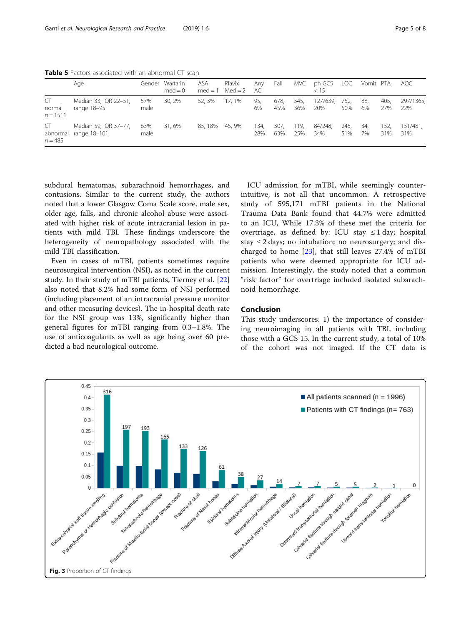<span id="page-4-0"></span>Table 5 Factors associated with an abnormal CT scan

|                             | Age                                   | Gender      | Warfarin<br>$med = 0$ | ASA<br>$med = 1$ | Plavix<br>$Med = 2$ | Any<br>AC   | Fall        | MVC         | ph GCS<br>< 15  | LOC         | Vomit PTA |             | AOC.             |
|-----------------------------|---------------------------------------|-------------|-----------------------|------------------|---------------------|-------------|-------------|-------------|-----------------|-------------|-----------|-------------|------------------|
| CT<br>normal<br>$n = 1511$  | Median 33, IQR 22-51,<br>range 18-95  | 57%<br>male | 30, 2%                | 52, 3%           | 17.1%               | 95,<br>6%   | 678,<br>45% | 545,<br>36% | 127/639.<br>20% | 752,<br>50% | 88,<br>6% | 405,<br>27% | 297/1365,<br>22% |
| CT<br>abnormal<br>$n = 485$ | Median 59, IQR 37-77,<br>range 18–101 | 63%<br>male | 31.6%                 | 85, 18%          | 45.9%               | 134,<br>28% | 307,<br>63% | 119,<br>25% | 84/248,<br>34%  | 245,<br>51% | 34.<br>7% | 152,<br>31% | 151/481.<br>31%  |

subdural hematomas, subarachnoid hemorrhages, and contusions. Similar to the current study, the authors noted that a lower Glasgow Coma Scale score, male sex, older age, falls, and chronic alcohol abuse were associated with higher risk of acute intracranial lesion in patients with mild TBI. These findings underscore the heterogeneity of neuropathology associated with the mild TBI classification.

Even in cases of mTBI, patients sometimes require neurosurgical intervention (NSI), as noted in the current study. In their study of mTBI patients, Tierney et al. [[22](#page-7-0)] also noted that 8.2% had some form of NSI performed (including placement of an intracranial pressure monitor and other measuring devices). The in-hospital death rate for the NSI group was 13%, significantly higher than general figures for mTBI ranging from 0.3–1.8%. The use of anticoagulants as well as age being over 60 predicted a bad neurological outcome.

ICU admission for mTBI, while seemingly counterintuitive, is not all that uncommon. A retrospective study of 595,171 mTBI patients in the National Trauma Data Bank found that 44.7% were admitted to an ICU, While 17.3% of these met the criteria for overtriage, as defined by: ICU stay  $\leq 1$  day; hospital stay  $\leq$  2 days; no intubation; no neurosurgery; and discharged to home  $[23]$  $[23]$ , that still leaves 27.4% of mTBI patients who were deemed appropriate for ICU admission. Interestingly, the study noted that a common "risk factor" for overtriage included isolated subarachnoid hemorrhage.

#### Conclusion

This study underscores: 1) the importance of considering neuroimaging in all patients with TBI, including those with a GCS 15. In the current study, a total of 10% of the cohort was not imaged. If the CT data is

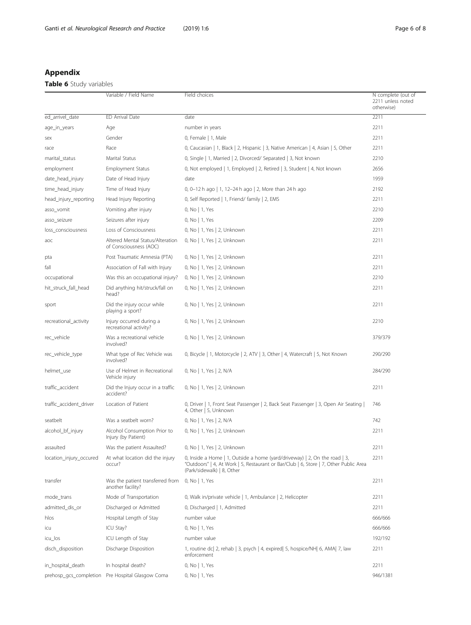## Appendix

## Table 6 Study variables

|                         | Variable / Field Name                                      | Field choices                                                                                                                                                                                     | N complete (out of<br>2211 unless noted<br>otherwise) |
|-------------------------|------------------------------------------------------------|---------------------------------------------------------------------------------------------------------------------------------------------------------------------------------------------------|-------------------------------------------------------|
| ed_arrivel_date         | ED Arrival Date                                            | date                                                                                                                                                                                              | 2211                                                  |
| age_in_years            | Age                                                        | number in years                                                                                                                                                                                   | 2211                                                  |
| sex                     | Gender                                                     | 0, Female   1, Male                                                                                                                                                                               | 2211                                                  |
| race                    | Race                                                       | 0, Caucasian   1, Black   2, Hispanic   3, Native American   4, Asian   5, Other                                                                                                                  | 2211                                                  |
| marital_status          | Marital Status                                             | 0, Single   1, Married   2, Divorced/ Separated   3, Not known                                                                                                                                    | 2210                                                  |
| employment              | <b>Employment Status</b>                                   | 0, Not employed   1, Employed   2, Retired   3, Student   4, Not known                                                                                                                            | 2656                                                  |
| date_head_injury        | Date of Head Injury                                        | date                                                                                                                                                                                              | 1959                                                  |
| time_head_injury        | Time of Head Injury                                        | 0, 0-12 h ago   1, 12-24 h ago   2, More than 24 h ago                                                                                                                                            | 2192                                                  |
| head_injury_reporting   | Head Injury Reporting                                      | 0, Self Reported   1, Friend/ family   2, EMS                                                                                                                                                     | 2211                                                  |
| asso_vomit              | Vomiting after injury                                      | 0, No   1, Yes                                                                                                                                                                                    | 2210                                                  |
| asso_seizure            | Seizures after injury                                      | 0, No   1, Yes                                                                                                                                                                                    | 2209                                                  |
| loss_consciousness      | Loss of Consciousness                                      | 0, No   1, Yes   2, Unknown                                                                                                                                                                       | 2211                                                  |
| aoc                     | Altered Mental Status/Alteration<br>of Consciousness (AOC) | 0, No   1, Yes   2, Unknown                                                                                                                                                                       | 2211                                                  |
| pta                     | Post Traumatic Amnesia (PTA)                               | 0, No   1, Yes   2, Unknown                                                                                                                                                                       | 2211                                                  |
| fall                    | Association of Fall with Injury                            | 0, No   1, Yes   2, Unknown                                                                                                                                                                       | 2211                                                  |
| occupational            | Was this an occupational injury?                           | 0, No   1, Yes   2, Unknown                                                                                                                                                                       | 2210                                                  |
| hit struck fall head    | Did anything hit/struck/fall on<br>head?                   | 0, No   1, Yes   2, Unknown                                                                                                                                                                       | 2211                                                  |
| sport                   | Did the injury occur while<br>playing a sport?             | 0, No   1, Yes   2, Unknown                                                                                                                                                                       | 2211                                                  |
| recreational_activity   | Injury occurred during a<br>recreational activity?         | 0, No   1, Yes   2, Unknown                                                                                                                                                                       | 2210                                                  |
| rec_vehicle             | Was a recreational vehicle<br>involved?                    | 0, No   1, Yes   2, Unknown                                                                                                                                                                       | 379/379                                               |
| rec_vehicle_type        | What type of Rec Vehicle was<br>involved?                  | 0, Bicycle   1, Motorcycle   2, ATV   3, Other   4, Watercraft   5, Not Known                                                                                                                     | 290/290                                               |
| helmet_use              | Use of Helmet in Recreational<br>Vehicle injury            | 0, No   1, Yes   2, N/A                                                                                                                                                                           | 284/290                                               |
| traffic_accident        | Did the Injury occur in a traffic<br>accident?             | 0, No   1, Yes   2, Unknown                                                                                                                                                                       | 2211                                                  |
| traffic_accident_driver | Location of Patient                                        | 0, Driver   1, Front Seat Passenger   2, Back Seat Passenger   3, Open Air Seating  <br>4, Other   5, Unknown                                                                                     | 746                                                   |
| seatbelt                | Was a seatbelt worn?                                       | 0, No   1, Yes   2, N/A                                                                                                                                                                           | 742                                                   |
| alcohol_bf_injury       | Alcohol Consumption Prior to<br>Injury (by Patient)        | 0, No   1, Yes   2, Unknown                                                                                                                                                                       | 2211                                                  |
| assaulted               | Was the patient Assaulted?                                 | 0, No   1, Yes   2, Unknown                                                                                                                                                                       | 2211                                                  |
| location injury occured | At what location did the injury<br>occur?                  | 0, Inside a Home   1, Outside a home (yard/driveway)   2, On the road   3,<br>"Outdoors"   4, At Work   5, Restaurant or Bar/Club   6, Store   7, Other Public Area<br>(Park/sidewalk)   8, Other | 2211                                                  |
| transfer                | Was the patient transferred from<br>another facility?      | 0, No   1, Yes                                                                                                                                                                                    | 2211                                                  |
| mode_trans              | Mode of Transportation                                     | 0, Walk in/private vehicle   1, Ambulance   2, Helicopter                                                                                                                                         | 2211                                                  |
| admitted_dis_or         | Discharged or Admitted                                     | 0, Discharged   1, Admitted                                                                                                                                                                       | 2211                                                  |
| hlos                    | Hospital Length of Stay                                    | number value                                                                                                                                                                                      | 666/666                                               |
| icu                     | ICU Stay?                                                  | 0, No   1, Yes                                                                                                                                                                                    | 666/666                                               |
| icu_los                 | ICU Length of Stay                                         | number value                                                                                                                                                                                      | 192/192                                               |
| disch_disposition       | Discharge Disposition                                      | 1, routine dc 2, rehab 3, psych   4, expired 5, hospice/NH 6, AMA 7, law<br>enforcement                                                                                                           | 2211                                                  |
| in_hospital_death       | In hospital death?                                         | 0, No   1, Yes                                                                                                                                                                                    | 2211                                                  |
| prehosp_gcs_completion  | Pre Hospital Glasgow Coma                                  | 0, No   1, Yes                                                                                                                                                                                    | 946/1381                                              |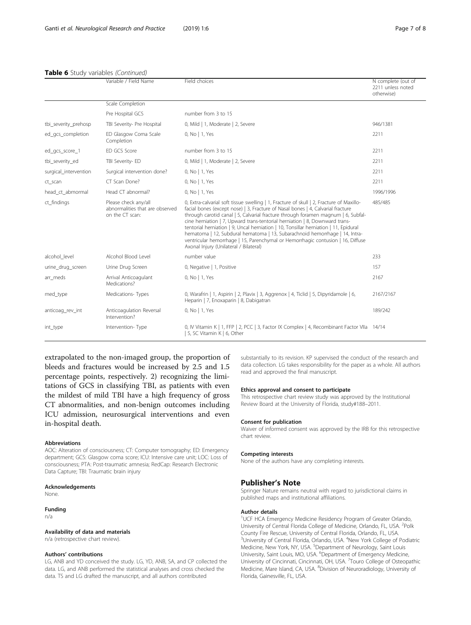#### Table 6 Study variables (Continued)

|                       | Variable / Field Name                                                      | Field choices                                                                                                                                                                                                                                                                                                                                                                                                                                                                                                                                                                                                                                       | N complete (out of<br>2211 unless noted<br>otherwise) |
|-----------------------|----------------------------------------------------------------------------|-----------------------------------------------------------------------------------------------------------------------------------------------------------------------------------------------------------------------------------------------------------------------------------------------------------------------------------------------------------------------------------------------------------------------------------------------------------------------------------------------------------------------------------------------------------------------------------------------------------------------------------------------------|-------------------------------------------------------|
|                       | Scale Completion                                                           |                                                                                                                                                                                                                                                                                                                                                                                                                                                                                                                                                                                                                                                     |                                                       |
|                       | Pre Hospital GCS                                                           | number from 3 to 15                                                                                                                                                                                                                                                                                                                                                                                                                                                                                                                                                                                                                                 |                                                       |
| tbi_severity_prehosp  | TBI Severity- Pre Hospital                                                 | 0, Mild   1, Moderate   2, Severe                                                                                                                                                                                                                                                                                                                                                                                                                                                                                                                                                                                                                   | 946/1381                                              |
| ed gcs completion     | ED Glasgow Coma Scale<br>Completion                                        | 0, No   1, Yes                                                                                                                                                                                                                                                                                                                                                                                                                                                                                                                                                                                                                                      | 2211                                                  |
| ed_gcs_score_1        | ED GCS Score                                                               | number from 3 to 15                                                                                                                                                                                                                                                                                                                                                                                                                                                                                                                                                                                                                                 | 2211                                                  |
| tbi_severity_ed       | TBI Severity- ED                                                           | 0, Mild   1, Moderate   2, Severe                                                                                                                                                                                                                                                                                                                                                                                                                                                                                                                                                                                                                   | 2211                                                  |
| surgical_intervention | Surgical intervention done?                                                | 0, No   1, Yes                                                                                                                                                                                                                                                                                                                                                                                                                                                                                                                                                                                                                                      | 2211                                                  |
| ct_scan               | CT Scan Done?                                                              | 0, No   1, Yes                                                                                                                                                                                                                                                                                                                                                                                                                                                                                                                                                                                                                                      | 2211                                                  |
| head ct abmormal      | Head CT abnormal?                                                          | 0, No   1, Yes                                                                                                                                                                                                                                                                                                                                                                                                                                                                                                                                                                                                                                      | 1996/1996                                             |
| ct findings           | Please check any/all<br>abnormalities that are observed<br>on the CT scan: | 0, Extra-calvarial soft tissue swelling   1, Fracture of skull   2, Fracture of Maxillo-<br>facial bones (except nose)   3, Fracture of Nasal bones   4, Calvarial fracture<br>through carotid canal   5, Calvarial fracture through foramen magnum   6, Subfal-<br>cine herniation   7, Upward trans-tentorial herniation   8, Downward trans-<br>tentorial herniation   9, Uncal herniation   10, Tonsillar herniation   11, Epidural<br>hematoma   12, Subdural hematoma   13, Subarachnoid hemorrhage   14, Intra-<br>ventricular hemorrhage   15, Parenchymal or Hemorrhagic contusion   16, Diffuse<br>Axonal Injury (Unilateral / Bilateral) | 485/485                                               |
| alcohol level         | Alcohol Blood Level                                                        | number value                                                                                                                                                                                                                                                                                                                                                                                                                                                                                                                                                                                                                                        | 233                                                   |
| urine drug screen     | Urine Drug Screen                                                          | 0, Negative   1, Positive                                                                                                                                                                                                                                                                                                                                                                                                                                                                                                                                                                                                                           | 157                                                   |
| arr_meds              | Arrival Anticoagulant<br>Medications?                                      | 0, No   1, Yes                                                                                                                                                                                                                                                                                                                                                                                                                                                                                                                                                                                                                                      | 2167                                                  |
| med_type              | Medications-Types                                                          | 0, Warafrin   1, Aspirin   2, Plavix   3, Aggrenox   4, Ticlid   5, Dipyridamole   6,<br>Heparin   7, Enoxaparin   8, Dabigatran                                                                                                                                                                                                                                                                                                                                                                                                                                                                                                                    | 2167/2167                                             |
| anticoag_rev_int      | Anticoagulation Reversal<br>Intervention?                                  | 0, No   1, Yes                                                                                                                                                                                                                                                                                                                                                                                                                                                                                                                                                                                                                                      | 189/242                                               |
| int_type              | Intervention-Type                                                          | 0, IV Vitamin K   1, FFP   2, PCC   3, Factor IX Complex   4, Recombinant Factor VIIa 14/14<br>5, SC Vitamin K   6, Other                                                                                                                                                                                                                                                                                                                                                                                                                                                                                                                           |                                                       |

extrapolated to the non-imaged group, the proportion of bleeds and fractures would be increased by 2.5 and 1.5 percentage points, respectively. 2) recognizing the limitations of GCS in classifying TBI, as patients with even the mildest of mild TBI have a high frequency of gross CT abnormalities, and non-benign outcomes including ICU admission, neurosurgical interventions and even in-hospital death.

#### Abbreviations

AOC: Alteration of consciousness; CT: Computer tomography; ED: Emergency department; GCS: Glasgow coma score; ICU: Intensive care unit; LOC: Loss of consciousness; PTA: Post-traumatic amnesia; RedCap: Research Electronic Data Capture; TBI: Traumatic brain injury

#### Acknowledgements

None.

## Funding

n/a

#### Availability of data and materials

n/a (retrospective chart review).

#### Authors' contributions

LG, ANB and YD conceived the study. LG, YD, ANB, SA, and CP collected the data. LG, and ANB performed the statistical analyses and cross checked the data. TS and LG drafted the manuscript, and all authors contributed

substantially to its revision. KP supervised the conduct of the research and data collection. LG takes responsibility for the paper as a whole. All authors read and approved the final manuscript.

#### Ethics approval and consent to participate

This retrospective chart review study was approved by the Institutional Review Board at the University of Florida, study#188–2011.

#### Consent for publication

Waiver of informed consent was approved by the IRB for this retrospective chart review.

#### Competing interests

None of the authors have any completing interests.

#### Publisher's Note

Springer Nature remains neutral with regard to jurisdictional claims in published maps and institutional affiliations.

#### Author details

<sup>1</sup>UCF HCA Emergency Medicine Residency Program of Greater Orlando, University of Central Florida College of Medicine, Orlando, FL, USA. <sup>2</sup>Polk County Fire Rescue, University of Central Florida, Orlando, FL, USA. <sup>3</sup>University of Central Florida, Orlando, USA. <sup>4</sup>New York College of Podiatric Medicine, New York, NY, USA. <sup>5</sup>Department of Neurology, Saint Louis University, Saint Louis, MO, USA. <sup>6</sup>Department of Emergency Medicine, University of Cincinnati, Cincinnati, OH, USA. <sup>7</sup>Touro College of Osteopathic Medicine, Mare Island, CA, USA. <sup>8</sup>Division of Neuroradiology, University of Florida, Gainesville, FL, USA.